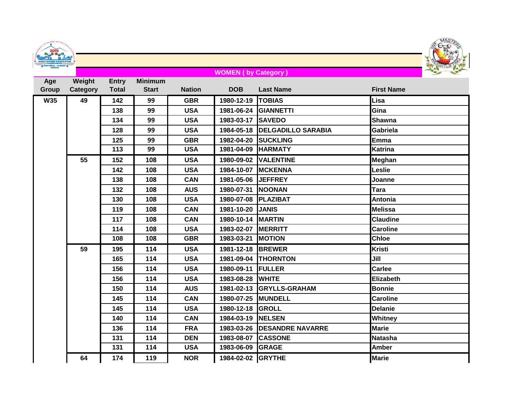| DENTS OU MONDE MAITRES DINNEY                                      |
|--------------------------------------------------------------------|
| EIGHTLIETING<br><b>CHAMPIONSHIPS</b><br><b>MONTRÉAL - QUÉBEC.4</b> |
|                                                                    |



## **WOMEN ( by Category )**

| Age        | Weight   | <b>Entry</b> | <b>Minimum</b> |               |                     |                               |                   |
|------------|----------|--------------|----------------|---------------|---------------------|-------------------------------|-------------------|
| Group      | Category | <b>Total</b> | <b>Start</b>   | <b>Nation</b> | <b>DOB</b>          | <b>Last Name</b>              | <b>First Name</b> |
| <b>W35</b> | 49       | 142          | 99             | <b>GBR</b>    | 1980-12-19          | <b>TOBIAS</b>                 | Lisa              |
|            |          | 138          | 99             | <b>USA</b>    |                     | 1981-06-24 GIANNETTI          | Gina              |
|            |          | 134          | 99             | <b>USA</b>    | 1983-03-17 SAVEDO   |                               | Shawna            |
|            |          | 128          | 99             | <b>USA</b>    |                     | 1984-05-18 DELGADILLO SARABIA | Gabriela          |
|            |          | 125          | 99             | <b>GBR</b>    | 1982-04-20          | <b>SUCKLING</b>               | <b>Emma</b>       |
|            |          | 113          | 99             | <b>USA</b>    | 1981-04-09 HARMATY  |                               | <b>Katrina</b>    |
|            | 55       | 152          | 108            | <b>USA</b>    |                     | 1980-09-02 VALENTINE          | Meghan            |
|            |          | 142          | 108            | <b>USA</b>    | 1984-10-07 MCKENNA  |                               | Leslie            |
|            |          | 138          | 108            | <b>CAN</b>    | 1981-05-06 JEFFREY  |                               | Joanne            |
|            |          | 132          | 108            | <b>AUS</b>    | 1980-07-31 NOONAN   |                               | <b>Tara</b>       |
|            |          | 130          | 108            | <b>USA</b>    | 1980-07-08 PLAZIBAT |                               | <b>Antonia</b>    |
|            |          | 119          | 108            | <b>CAN</b>    | 1981-10-20 JANIS    |                               | <b>Melissa</b>    |
|            |          | 117          | 108            | <b>CAN</b>    | 1980-10-14 MARTIN   |                               | <b>Claudine</b>   |
|            |          | 114          | 108            | <b>USA</b>    | 1983-02-07 MERRITT  |                               | <b>Caroline</b>   |
|            |          | 108          | 108            | <b>GBR</b>    | 1983-03-21 MOTION   |                               | <b>Chloe</b>      |
|            | 59       | 195          | 114            | <b>USA</b>    | 1981-12-18 BREWER   |                               | <b>Kristi</b>     |
|            |          | 165          | 114            | <b>USA</b>    |                     | 1981-09-04 THORNTON           | Jill              |
|            |          | 156          | 114            | <b>USA</b>    | 1980-09-11          | <b>IFULLER</b>                | <b>Carlee</b>     |
|            |          | 156          | 114            | <b>USA</b>    | 1983-08-28 WHITE    |                               | Elizabeth         |
|            |          | 150          | 114            | <b>AUS</b>    |                     | 1981-02-13 GRYLLS-GRAHAM      | <b>Bonnie</b>     |
|            |          | 145          | 114            | <b>CAN</b>    | 1980-07-25 MUNDELL  |                               | <b>Caroline</b>   |
|            |          | 145          | 114            | <b>USA</b>    | 1980-12-18 GROLL    |                               | <b>Delanie</b>    |
|            |          | 140          | 114            | <b>CAN</b>    | 1984-03-19 NELSEN   |                               | <b>Whitney</b>    |
|            |          | 136          | 114            | <b>FRA</b>    |                     | 1983-03-26 DESANDRE NAVARRE   | <b>Marie</b>      |
|            |          | 131          | 114            | <b>DEN</b>    | 1983-08-07 CASSONE  |                               | Natasha           |
|            |          | 131          | 114            | <b>USA</b>    | 1983-06-09 GRAGE    |                               | <b>Amber</b>      |
|            | 64       | 174          | 119            | <b>NOR</b>    | 1984-02-02 GRYTHE   |                               | Marie             |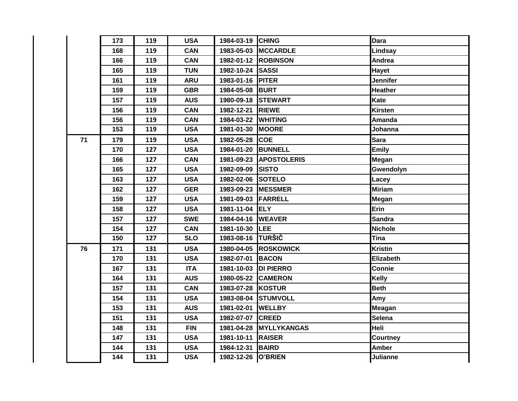|    | 173 | 119 | <b>USA</b> | 1984-03-19 CHING     |                        | <b>Dara</b>     |
|----|-----|-----|------------|----------------------|------------------------|-----------------|
|    | 168 | 119 | <b>CAN</b> |                      | 1983-05-03 MCCARDLE    | Lindsay         |
|    | 166 | 119 | <b>CAN</b> |                      | 1982-01-12 ROBINSON    | Andrea          |
|    | 165 | 119 | <b>TUN</b> | 1982-10-24 SASSI     |                        | Hayet           |
|    | 161 | 119 | <b>ARU</b> | 1983-01-16 PITER     |                        | <b>Jennifer</b> |
|    | 159 | 119 | <b>GBR</b> | 1984-05-08 BURT      |                        | <b>Heather</b>  |
|    | 157 | 119 | <b>AUS</b> | 1980-09-18 STEWART   |                        | <b>Kate</b>     |
|    | 156 | 119 | <b>CAN</b> | 1982-12-21 RIEWE     |                        | <b>Kirsten</b>  |
|    | 156 | 119 | <b>CAN</b> | 1984-03-22 WHITING   |                        | Amanda          |
|    | 153 | 119 | <b>USA</b> | 1981-01-30 MOORE     |                        | Johanna         |
| 71 | 179 | 119 | <b>USA</b> | 1982-05-28 COE       |                        | <b>Sara</b>     |
|    | 170 | 127 | <b>USA</b> | 1984-01-20 BUNNELL   |                        | <b>Emily</b>    |
|    | 166 | 127 | <b>CAN</b> |                      | 1981-09-23 APOSTOLERIS | Megan           |
|    | 165 | 127 | <b>USA</b> | 1982-09-09 SISTO     |                        | Gwendolyn       |
|    | 163 | 127 | <b>USA</b> | 1982-02-06 SOTELO    |                        | Lacey           |
|    | 162 | 127 | <b>GER</b> | 1983-09-23 MESSMER   |                        | <b>Miriam</b>   |
|    | 159 | 127 | <b>USA</b> | 1981-09-03 FARRELL   |                        | Megan           |
|    | 158 | 127 | <b>USA</b> | 1981-11-04 ELY       |                        | Erin            |
|    | 157 | 127 | <b>SWE</b> | 1984-04-16 WEAVER    |                        | <b>Sandra</b>   |
|    | 154 | 127 | <b>CAN</b> | 1981-10-30 LEE       |                        | <b>Nichole</b>  |
|    | 150 | 127 | <b>SLO</b> | 1983-08-16 TURŠIČ    |                        | Tina            |
| 76 | 171 | 131 | <b>USA</b> |                      | 1980-04-05 ROSKOWICK   | <b>Kristin</b>  |
|    | 170 | 131 | <b>USA</b> | 1982-07-01 BACON     |                        | Elizabeth       |
|    | 167 | 131 | <b>ITA</b> | 1981-10-03 DI PIERRO |                        | Connie          |
|    | 164 | 131 | <b>AUS</b> | 1980-05-22 CAMERON   |                        | <b>Kelly</b>    |
|    | 157 | 131 | <b>CAN</b> | 1983-07-28 KOSTUR    |                        | <b>Beth</b>     |
|    | 154 | 131 | <b>USA</b> |                      | 1983-08-04 STUMVOLL    | Amy             |
|    | 153 | 131 | <b>AUS</b> | 1981-02-01           | <b>WELLBY</b>          | <b>Meagan</b>   |
|    | 151 | 131 | <b>USA</b> | 1982-07-07 CREED     |                        | <b>Selena</b>   |
|    | 148 | 131 | <b>FIN</b> |                      | 1981-04-28 MYLLYKANGAS | Heli            |
|    | 147 | 131 | <b>USA</b> | 1981-10-11           | <b>RAISER</b>          | Courtney        |
|    | 144 | 131 | <b>USA</b> | 1984-12-31           | <b>BAIRD</b>           | <b>Amber</b>    |
|    | 144 | 131 | <b>USA</b> | 1982-12-26 O'BRIEN   |                        | <b>Julianne</b> |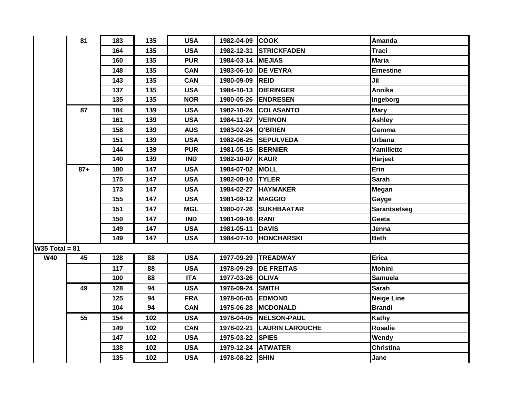|                  | 81    | 183            | 135 | <b>USA</b> | 1982-04-09 COOK    |                            | <b>Amanda</b>       |
|------------------|-------|----------------|-----|------------|--------------------|----------------------------|---------------------|
|                  |       | 164            | 135 | <b>USA</b> |                    | 1982-12-31 STRICKFADEN     | <b>Traci</b>        |
|                  |       | 160            | 135 | <b>PUR</b> | 1984-03-14 MEJIAS  |                            | Maria               |
|                  |       | 148            | 135 | <b>CAN</b> |                    | 1983-06-10 DE VEYRA        | <b>Ernestine</b>    |
|                  |       | 143            | 135 | <b>CAN</b> | 1980-09-09 REID    |                            | Jil                 |
|                  |       | 137            | 135 | <b>USA</b> |                    | 1984-10-13 DIERINGER       | Annika              |
|                  |       | 135            | 135 | <b>NOR</b> |                    | 1980-05-26 ENDRESEN        | Ingeborg            |
|                  | 87    | 184            | 139 | <b>USA</b> |                    | 1982-10-24 COLASANTO       | <b>Mary</b>         |
|                  |       | 161            | 139 | <b>USA</b> | 1984-11-27 VERNON  |                            | Ashley              |
|                  |       | 158            | 139 | <b>AUS</b> | 1983-02-24 O'BRIEN |                            | Gemma               |
|                  |       | 151            | 139 | <b>USA</b> |                    | 1982-06-25 SEPULVEDA       | <b>Urbana</b>       |
|                  |       | 144            | 139 | <b>PUR</b> | 1981-05-15 BERNIER |                            | Yamillette          |
|                  |       | 140            | 139 | <b>IND</b> | 1982-10-07 KAUR    |                            | Harjeet             |
|                  | $87+$ | 180            | 147 | <b>USA</b> | 1984-07-02 MOLL    |                            | Erin                |
|                  |       | 175            | 147 | <b>USA</b> | 1982-08-10 TYLER   |                            | <b>Sarah</b>        |
|                  |       | 173            | 147 | <b>USA</b> |                    | 1984-02-27 HAYMAKER        | Megan               |
|                  |       | 155            | 147 | <b>USA</b> | 1981-09-12 MAGGIO  |                            | Gayge               |
|                  |       | 151            | 147 | <b>MGL</b> |                    | 1980-07-26 SUKHBAATAR      | <b>Sarantsetseg</b> |
|                  |       | 150            | 147 | <b>IND</b> | 1981-09-16 RANI    |                            | Geeta               |
|                  |       | 149            | 147 | <b>USA</b> | 1981-05-11 DAVIS   |                            | Jenna               |
|                  |       | 149            | 147 | <b>USA</b> |                    | 1984-07-10 HONCHARSKI      | <b>Beth</b>         |
| $W35$ Total = 81 |       |                |     |            |                    |                            |                     |
| W40              | 45    | $\frac{1}{28}$ | 88  | <b>USA</b> |                    | 1977-09-29 TREADWAY        | <b>Erica</b>        |
|                  |       | 117            | 88  | <b>USA</b> |                    | 1978-09-29 DE FREITAS      | <b>Mohini</b>       |
|                  |       | 100            | 88  | <b>ITA</b> | 1977-03-26 OLIVA   |                            | <b>Samuela</b>      |
|                  | 49    | 128            | 94  | <b>USA</b> | 1976-09-24 SMITH   |                            | <b>Sarah</b>        |
|                  |       | 125            | 94  | <b>FRA</b> | 1978-06-05 EDMOND  |                            | <b>Neige Line</b>   |
|                  |       | 104            | 94  | <b>CAN</b> |                    | 1975-06-28 MCDONALD        | <b>Brandi</b>       |
|                  | 55    | 154            | 102 | <b>USA</b> |                    | 1978-04-05 NELSON-PAUL     | Kathy               |
|                  |       | 149            | 102 | <b>CAN</b> |                    | 1978-02-21 LAURIN LAROUCHE | <b>Rosalie</b>      |
|                  |       | 147            | 102 | <b>USA</b> | 1975-03-22 SPIES   |                            | Wendy               |
|                  |       | 138            | 102 | <b>USA</b> | 1979-12-24 ATWATER |                            | <b>Christina</b>    |
|                  |       | 135            | 102 | <b>USA</b> | 1978-08-22 SHIN    |                            | Jane                |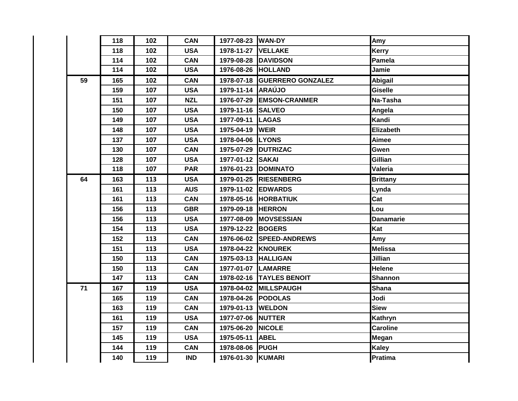|    | 118 | 102 | <b>CAN</b> | 1977-08-23 WAN-DY   |                              | Amy              |
|----|-----|-----|------------|---------------------|------------------------------|------------------|
|    | 118 | 102 | <b>USA</b> | 1978-11-27 VELLAKE  |                              | Kerry            |
|    | 114 | 102 | <b>CAN</b> |                     | 1979-08-28 DAVIDSON          | Pamela           |
|    | 114 | 102 | <b>USA</b> | 1976-08-26 HOLLAND  |                              | Jamie            |
| 59 | 165 | 102 | <b>CAN</b> |                     | 1978-07-18 GUERRERO GONZALEZ | <b>Abigail</b>   |
|    | 159 | 107 | <b>USA</b> | 1979-11-14 ARAÚJO   |                              | <b>Giselle</b>   |
|    | 151 | 107 | <b>NZL</b> |                     | 1976-07-29 EMSON-CRANMER     | Na-Tasha         |
|    | 150 | 107 | <b>USA</b> | 1979-11-16 SALVEO   |                              | Angela           |
|    | 149 | 107 | <b>USA</b> | 1977-09-11 LAGAS    |                              | Kandi            |
|    | 148 | 107 | <b>USA</b> | 1975-04-19 WEIR     |                              | Elizabeth        |
|    | 137 | 107 | <b>USA</b> | 1978-04-06 LYONS    |                              | Aimee            |
|    | 130 | 107 | <b>CAN</b> | 1975-07-29 DUTRIZAC |                              | Gwen             |
|    | 128 | 107 | <b>USA</b> | 1977-01-12 SAKAI    |                              | Gillian          |
|    | 118 | 107 | <b>PAR</b> |                     | 1976-01-23 DOMINATO          | <b>Valeria</b>   |
| 64 | 163 | 113 | <b>USA</b> |                     | 1979-01-25 RIESENBERG        | <b>Brittany</b>  |
|    | 161 | 113 | <b>AUS</b> | 1979-11-02 EDWARDS  |                              | Lynda            |
|    | 161 | 113 | <b>CAN</b> |                     | 1978-05-16 HORBATIUK         | Cat              |
|    | 156 | 113 | <b>GBR</b> | 1979-09-18 HERRON   |                              | Lou              |
|    | 156 | 113 | <b>USA</b> |                     | 1977-08-09 MOVSESSIAN        | <b>Danamarie</b> |
|    | 154 | 113 | <b>USA</b> | 1979-12-22 BOGERS   |                              | Kat              |
|    | 152 | 113 | <b>CAN</b> |                     | 1976-06-02 SPEED-ANDREWS     | Amy              |
|    | 151 | 113 | <b>USA</b> | 1978-04-22 KNOUREK  |                              | <b>Melissa</b>   |
|    | 150 | 113 | <b>CAN</b> | 1975-03-13 HALLIGAN |                              | Jillian          |
|    | 150 | 113 | <b>CAN</b> | 1977-01-07 LAMARRE  |                              | <b>Helene</b>    |
|    | 147 | 113 | <b>CAN</b> |                     | 1978-02-16 TAYLES BENOIT     | <b>Shannon</b>   |
| 71 | 167 | 119 | <b>USA</b> |                     | 1978-04-02 MILLSPAUGH        | <b>Shana</b>     |
|    | 165 | 119 | <b>CAN</b> | 1978-04-26 PODOLAS  |                              | Jodi             |
|    | 163 | 119 | <b>CAN</b> | 1979-01-13 WELDON   |                              | <b>Siew</b>      |
|    | 161 | 119 | <b>USA</b> | 1977-07-06 NUTTER   |                              | Kathryn          |
|    | 157 | 119 | <b>CAN</b> | 1975-06-20 NICOLE   |                              | <b>Caroline</b>  |
|    | 145 | 119 | <b>USA</b> | 1975-05-11          | <b>ABEL</b>                  | Megan            |
|    | 144 | 119 | <b>CAN</b> | 1978-08-06 PUGH     |                              | Kaley            |
|    | 140 | 119 | <b>IND</b> | 1976-01-30 KUMARI   |                              | Pratima          |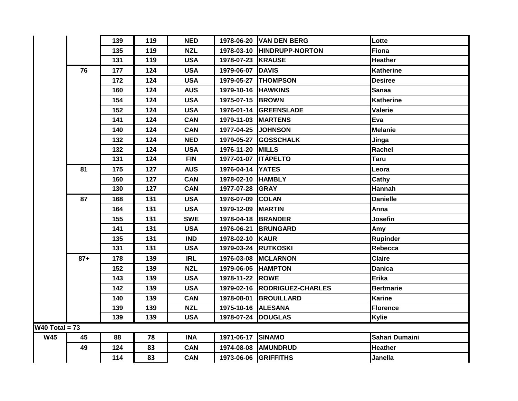|                  |       | 139 | 119 | <b>NED</b> |                     | 1978-06-20 VAN DEN BERG      | Lotte            |
|------------------|-------|-----|-----|------------|---------------------|------------------------------|------------------|
|                  |       | 135 | 119 | <b>NZL</b> |                     | 1978-03-10 HINDRUPP-NORTON   | <b>Fiona</b>     |
|                  |       | 131 | 119 | <b>USA</b> | 1978-07-23 KRAUSE   |                              | <b>Heather</b>   |
|                  | 76    | 177 | 124 | <b>USA</b> | 1979-06-07 DAVIS    |                              | <b>Katherine</b> |
|                  |       | 172 | 124 | <b>USA</b> |                     | 1979-05-27 THOMPSON          | <b>Desiree</b>   |
|                  |       | 160 | 124 | <b>AUS</b> | 1979-10-16 HAWKINS  |                              | <b>Sanaa</b>     |
|                  |       | 154 | 124 | <b>USA</b> | 1975-07-15 BROWN    |                              | <b>Katherine</b> |
|                  |       | 152 | 124 | <b>USA</b> |                     | 1976-01-14 GREENSLADE        | Valerie          |
|                  |       | 141 | 124 | <b>CAN</b> | 1979-11-03 MARTENS  |                              | Eva              |
|                  |       | 140 | 124 | <b>CAN</b> | 1977-04-25 JOHNSON  |                              | <b>Melanie</b>   |
|                  |       | 132 | 124 | <b>NED</b> |                     | 1979-05-27 GOSSCHALK         | Jinga            |
|                  |       | 132 | 124 | <b>USA</b> | 1976-11-20 MILLS    |                              | Rachel           |
|                  |       | 131 | 124 | <b>FIN</b> | 1977-01-07 ITÄPELTO |                              | <b>Taru</b>      |
|                  | 81    | 175 | 127 | <b>AUS</b> | 1976-04-14 YATES    |                              | Leora            |
|                  |       | 160 | 127 | <b>CAN</b> | 1978-02-10 HAMBLY   |                              | Cathy            |
|                  |       | 130 | 127 | <b>CAN</b> | 1977-07-28 GRAY     |                              | Hannah           |
|                  | 87    | 168 | 131 | <b>USA</b> | 1976-07-09 COLAN    |                              | <b>Danielle</b>  |
|                  |       | 164 | 131 | <b>USA</b> | 1979-12-09 MARTIN   |                              | Anna             |
|                  |       | 155 | 131 | <b>SWE</b> | 1978-04-18 BRANDER  |                              | Josefin          |
|                  |       | 141 | 131 | <b>USA</b> | 1976-06-21          | <b>BRUNGARD</b>              | Amy              |
|                  |       | 135 | 131 | <b>IND</b> | 1978-02-10 KAUR     |                              | <b>Rupinder</b>  |
|                  |       | 131 | 131 | <b>USA</b> |                     | 1979-03-24 RUTKOSKI          | Rebecca          |
|                  | $87+$ | 178 | 139 | <b>IRL</b> |                     | 1976-03-08 MCLARNON          | <b>Claire</b>    |
|                  |       | 152 | 139 | <b>NZL</b> |                     | 1979-06-05 HAMPTON           | <b>Danica</b>    |
|                  |       | 143 | 139 | <b>USA</b> | 1978-11-22 ROWE     |                              | <b>Erika</b>     |
|                  |       | 142 | 139 | <b>USA</b> |                     | 1979-02-16 RODRIGUEZ-CHARLES | <b>Bertmarie</b> |
|                  |       | 140 | 139 | <b>CAN</b> |                     | 1978-08-01 BROUILLARD        | <b>Karine</b>    |
|                  |       | 139 | 139 | <b>NZL</b> | 1975-10-16 ALESANA  |                              | Florence         |
|                  |       | 139 | 139 | <b>USA</b> |                     | 1978-07-24 DOUGLAS           | <b>Kylie</b>     |
| $W40$ Total = 73 |       |     |     |            |                     |                              |                  |
| <b>W45</b>       | 45    | 88  | 78  | <b>INA</b> | 1971-06-17          | <b>SINAMO</b>                | Sahari Dumaini   |
|                  | 49    | 124 | 83  | <b>CAN</b> |                     | 1974-08-08 AMUNDRUD          | <b>Heather</b>   |
|                  |       | 114 | 83  | <b>CAN</b> |                     | 1973-06-06 GRIFFITHS         | Janella          |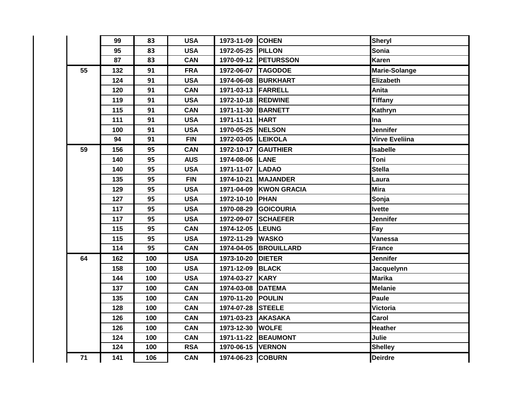|    | 99  | 83  | <b>USA</b> | 1973-11-09 COHEN    |                        | Sheryl                |
|----|-----|-----|------------|---------------------|------------------------|-----------------------|
|    | 95  | 83  | <b>USA</b> | 1972-05-25 PILLON   |                        | Sonia                 |
|    | 87  | 83  | <b>CAN</b> |                     | 1970-09-12 PETURSSON   | Karen                 |
| 55 | 132 | 91  | <b>FRA</b> | 1972-06-07 TAGODOE  |                        | <b>Marie-Solange</b>  |
|    | 124 | 91  | <b>USA</b> |                     | 1974-06-08 BURKHART    | <b>Elizabeth</b>      |
|    | 120 | 91  | <b>CAN</b> | 1971-03-13 FARRELL  |                        | Anita                 |
|    | 119 | 91  | <b>USA</b> | 1972-10-18 REDWINE  |                        | <b>Tiffany</b>        |
|    | 115 | 91  | <b>CAN</b> | 1971-11-30 BARNETT  |                        | Kathryn               |
|    | 111 | 91  | <b>USA</b> | 1971-11-11 HART     |                        | Ina                   |
|    | 100 | 91  | <b>USA</b> | 1970-05-25          | <b>NELSON</b>          | <b>Jennifer</b>       |
|    | 94  | 91  | <b>FIN</b> | 1972-03-05 LEIKOLA  |                        | <b>Virve Eveliina</b> |
| 59 | 156 | 95  | <b>CAN</b> | 1972-10-17 GAUTHIER |                        | <b>Isabelle</b>       |
|    | 140 | 95  | <b>AUS</b> | 1974-08-06 LANE     |                        | Toni                  |
|    | 140 | 95  | <b>USA</b> | 1971-11-07 LADAO    |                        | <b>Stella</b>         |
|    | 135 | 95  | <b>FIN</b> | 1974-10-21          | <b>MAJANDER</b>        | Laura                 |
|    | 129 | 95  | <b>USA</b> |                     | 1971-04-09 KWON GRACIA | <b>Mira</b>           |
|    | 127 | 95  | <b>USA</b> | 1972-10-10 PHAN     |                        | Sonja                 |
|    | 117 | 95  | <b>USA</b> | 1970-08-29          | <b>GOICOURIA</b>       | <b>Ivette</b>         |
|    | 117 | 95  | <b>USA</b> |                     | 1972-09-07 SCHAEFER    | Jennifer              |
|    | 115 | 95  | <b>CAN</b> | 1974-12-05 LEUNG    |                        | Fay                   |
|    | 115 | 95  | <b>USA</b> | 1972-11-29          | <b>WASKO</b>           | <b>Vanessa</b>        |
|    | 114 | 95  | <b>CAN</b> |                     | 1974-04-05 BROUILLARD  | <b>France</b>         |
| 64 | 162 | 100 | <b>USA</b> | 1973-10-20 DIETER   |                        | Jennifer              |
|    | 158 | 100 | <b>USA</b> | 1971-12-09          | <b>BLACK</b>           | Jacquelynn            |
|    | 144 | 100 | <b>USA</b> | 1974-03-27 KARY     |                        | Marika                |
|    | 137 | 100 | <b>CAN</b> | 1974-03-08          | <b>DATEMA</b>          | <b>Melanie</b>        |
|    | 135 | 100 | <b>CAN</b> | 1970-11-20 POULIN   |                        | <b>Paule</b>          |
|    | 128 | 100 | <b>CAN</b> | 1974-07-28 STEELE   |                        | Victoria              |
|    | 126 | 100 | <b>CAN</b> | 1971-03-23 AKASAKA  |                        | Carol                 |
|    | 126 | 100 | <b>CAN</b> | 1973-12-30 WOLFE    |                        | <b>Heather</b>        |
|    | 124 | 100 | <b>CAN</b> |                     | 1971-11-22 BEAUMONT    | Julie                 |
|    | 124 | 100 | <b>RSA</b> | 1970-06-15 VERNON   |                        | <b>Shelley</b>        |
| 71 | 141 | 106 | <b>CAN</b> | 1974-06-23 COBURN   |                        | <b>Deirdre</b>        |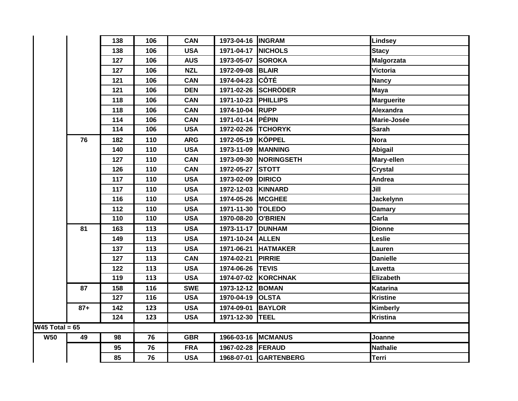|                  |       | 138 | 106 | <b>CAN</b> | 1973-04-16 INGRAM   |                       | <b>Lindsey</b>    |
|------------------|-------|-----|-----|------------|---------------------|-----------------------|-------------------|
|                  |       | 138 | 106 | <b>USA</b> | 1971-04-17 NICHOLS  |                       | <b>Stacy</b>      |
|                  |       | 127 | 106 | <b>AUS</b> | 1973-05-07 SOROKA   |                       | <b>Malgorzata</b> |
|                  |       | 127 | 106 | <b>NZL</b> | 1972-09-08 BLAIR    |                       | Victoria          |
|                  |       | 121 | 106 | <b>CAN</b> | 1974-04-23 CÔTÉ     |                       | <b>Nancy</b>      |
|                  |       | 121 | 106 | <b>DEN</b> |                     | 1971-02-26 SCHRÖDER   | <b>Maya</b>       |
|                  |       | 118 | 106 | <b>CAN</b> | 1971-10-23 PHILLIPS |                       | <b>Marguerite</b> |
|                  |       | 118 | 106 | <b>CAN</b> | 1974-10-04 RUPP     |                       | Alexandra         |
|                  |       | 114 | 106 | <b>CAN</b> | 1971-01-14 PÉPIN    |                       | Marie-Josée       |
|                  |       | 114 | 106 | <b>USA</b> |                     | 1972-02-26 TCHORYK    | <b>Sarah</b>      |
|                  | 76    | 182 | 110 | <b>ARG</b> | 1972-05-19 KÖPPEL   |                       | <b>Nora</b>       |
|                  |       | 140 | 110 | <b>USA</b> | 1973-11-09 MANNING  |                       | Abigail           |
|                  |       | 127 | 110 | <b>CAN</b> | 1973-09-30          | <b>NORINGSETH</b>     | Mary-ellen        |
|                  |       | 126 | 110 | <b>CAN</b> | 1972-05-27          | <b>STOTT</b>          | <b>Crystal</b>    |
|                  |       | 117 | 110 | <b>USA</b> | 1973-02-09 DIRICO   |                       | Andrea            |
|                  |       | 117 | 110 | <b>USA</b> | 1972-12-03 KINNARD  |                       | Jill              |
|                  |       | 116 | 110 | <b>USA</b> | 1974-05-26 MCGHEE   |                       | <b>Jackelynn</b>  |
|                  |       | 112 | 110 | <b>USA</b> | 1971-11-30   TOLEDO |                       | <b>Damary</b>     |
|                  |       | 110 | 110 | <b>USA</b> | 1970-08-20 O'BRIEN  |                       | Carla             |
|                  | 81    | 163 | 113 | <b>USA</b> | 1973-11-17          | <b>DUNHAM</b>         | <b>Dionne</b>     |
|                  |       | 149 | 113 | <b>USA</b> | 1971-10-24 ALLEN    |                       | Leslie            |
|                  |       | 137 | 113 | <b>USA</b> |                     | 1971-06-21 HATMAKER   | Lauren            |
|                  |       | 127 | 113 | <b>CAN</b> | 1974-02-21 PIRRIE   |                       | <b>Danielle</b>   |
|                  |       | 122 | 113 | <b>USA</b> | 1974-06-26 TEVIS    |                       | Lavetta           |
|                  |       | 119 | 113 | <b>USA</b> |                     | 1974-07-02 KORCHNAK   | Elizabeth         |
|                  | 87    | 158 | 116 | <b>SWE</b> | 1973-12-12 BOMAN    |                       | <b>Katarina</b>   |
|                  |       | 127 | 116 | <b>USA</b> | 1970-04-19 OLSTA    |                       | <b>Kristine</b>   |
|                  | $87+$ | 142 | 123 | <b>USA</b> | 1974-09-01          | <b>BAYLOR</b>         | Kimberly          |
|                  |       | 124 | 123 | <b>USA</b> | 1971-12-30          | <b>ITEEL</b>          | Kristina          |
| W45 Total = $65$ |       |     |     |            |                     |                       |                   |
| <b>W50</b>       | 49    | 98  | 76  | <b>GBR</b> |                     | 1966-03-16 MCMANUS    | Joanne            |
|                  |       | 95  | 76  | <b>FRA</b> | 1967-02-28 FERAUD   |                       | <b>Nathalie</b>   |
|                  |       | 85  | 76  | <b>USA</b> |                     | 1968-07-01 GARTENBERG | Terri             |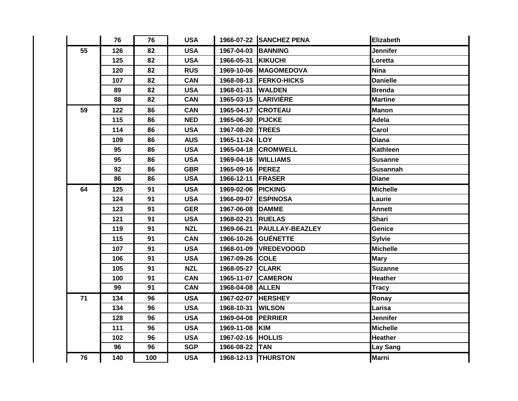|    | 76  | 76  | <b>USA</b> |                    | 1966-07-22 SANCHEZ PENA | <b>Elizabeth</b> |
|----|-----|-----|------------|--------------------|-------------------------|------------------|
| 55 | 126 | 82  | <b>USA</b> | 1967-04-03         | <b>BANNING</b>          | Jennifer         |
|    | 125 | 82  | <b>USA</b> | 1966-05-31         | KIKUCHI                 | Loretta          |
|    | 120 | 82  | <b>RUS</b> | 1969-10-06         | <b>MAGOMEDOVA</b>       | <b>Nina</b>      |
|    | 107 | 82  | <b>CAN</b> | 1968-08-13         | <b>FERKO-HICKS</b>      | <b>Danielle</b>  |
|    | 89  | 82  | <b>USA</b> | 1968-01-31         | <b>WALDEN</b>           | <b>Brenda</b>    |
|    | 88  | 82  | <b>CAN</b> | 1965-03-15         | <b>LARIVIÈRE</b>        | <b>Martine</b>   |
| 59 | 122 | 86  | <b>CAN</b> | 1965-04-17 CROTEAU |                         | <b>Manon</b>     |
|    | 115 | 86  | <b>NED</b> | 1965-06-30         | <b>PIJCKE</b>           | Adela            |
|    | 114 | 86  | <b>USA</b> | 1967-08-20         | <b>TREES</b>            | Carol            |
|    | 109 | 86  | <b>AUS</b> | 1965-11-24         | <b>ILOY</b>             | <b>Diana</b>     |
|    | 95  | 86  | <b>USA</b> | 1965-04-18         | <b>CROMWELL</b>         | <b>Kathleen</b>  |
|    | 95  | 86  | <b>USA</b> | 1969-04-16         | <b>WILLIAMS</b>         | Susanne          |
|    | 92  | 86  | <b>GBR</b> | 1965-09-16         | <b>PEREZ</b>            | <b>Susannah</b>  |
|    | 86  | 86  | <b>USA</b> | 1966-12-11         | <b>FRASER</b>           | <b>Diane</b>     |
| 64 | 125 | 91  | <b>USA</b> | 1969-02-06         | <b>PICKING</b>          | <b>Michelle</b>  |
|    | 124 | 91  | <b>USA</b> | 1966-09-07         | <b>ESPINOSA</b>         | Laurie           |
|    | 123 | 91  | <b>GER</b> | 1967-06-08         | <b>DAMME</b>            | <b>Annett</b>    |
|    | 121 | 91  | <b>USA</b> | 1968-02-21         | <b>RUELAS</b>           | <b>Shari</b>     |
|    | 119 | 91  | <b>NZL</b> | 1969-06-21         | <b>PAULLAY-BEAZLEY</b>  | Genice           |
|    | 115 | 91  | <b>CAN</b> | 1966-10-26         | <b>IGUÉNETTE</b>        | <b>Sylvie</b>    |
|    | 107 | 91  | <b>USA</b> | 1968-01-09         | <b>VREDEVOOGD</b>       | <b>Michelle</b>  |
|    | 106 | 91  | <b>USA</b> | 1967-09-26         | <b>COLE</b>             | <b>Mary</b>      |
|    | 105 | 91  | <b>NZL</b> | 1968-05-27         | <b>CLARK</b>            | <b>Suzanne</b>   |
|    | 100 | 91  | <b>CAN</b> | 1965-11-07         | <b>CAMERON</b>          | <b>Heather</b>   |
|    | 99  | 91  | <b>CAN</b> | 1968-04-08         | <b>ALLEN</b>            | <b>Tracy</b>     |
| 71 | 134 | 96  | <b>USA</b> | 1967-02-07         | <b>HERSHEY</b>          | Ronay            |
|    | 134 | 96  | <b>USA</b> | 1968-10-31         | <b>WILSON</b>           | Larisa           |
|    | 128 | 96  | <b>USA</b> | 1969-04-08         | <b>PERRIER</b>          | Jennifer         |
|    | 111 | 96  | <b>USA</b> | 1969-11-08         | KIM                     | <b>Michelle</b>  |
|    | 102 | 96  | <b>USA</b> | 1967-02-16         | <b>HOLLIS</b>           | <b>Heather</b>   |
|    | 96  | 96  | <b>SGP</b> | 1966-08-22         | <b>TAN</b>              | Lay Sang         |
| 76 | 140 | 100 | <b>USA</b> |                    | 1968-12-13 THURSTON     | <b>Marni</b>     |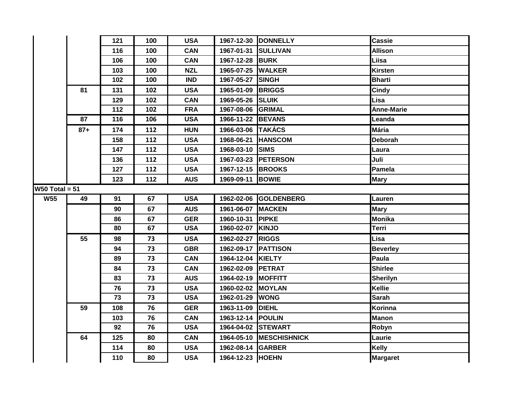|                  |       | 121 | 100 | <b>USA</b> |                     | 1967-12-30 DONNELLY     | <b>Cassie</b>     |
|------------------|-------|-----|-----|------------|---------------------|-------------------------|-------------------|
|                  |       | 116 | 100 | <b>CAN</b> | 1967-01-31 SULLIVAN |                         | <b>Allison</b>    |
|                  |       | 106 | 100 | <b>CAN</b> | 1967-12-28 BURK     |                         | Liisa             |
|                  |       | 103 | 100 | <b>NZL</b> | 1965-07-25 WALKER   |                         | <b>Kirsten</b>    |
|                  |       | 102 | 100 | <b>IND</b> | 1967-05-27 SINGH    |                         | <b>Bharti</b>     |
|                  | 81    | 131 | 102 | <b>USA</b> | 1965-01-09 BRIGGS   |                         | <b>Cindy</b>      |
|                  |       | 129 | 102 | <b>CAN</b> | 1969-05-26 SLUIK    |                         | Lisa              |
|                  |       | 112 | 102 | <b>FRA</b> | 1967-08-06 GRIMAL   |                         | <b>Anne-Marie</b> |
|                  | 87    | 116 | 106 | <b>USA</b> | 1966-11-22 BEVANS   |                         | Leanda            |
|                  | $87+$ | 174 | 112 | <b>HUN</b> | 1966-03-06 TAKÁCS   |                         | <b>Mária</b>      |
|                  |       | 158 | 112 | <b>USA</b> | 1968-06-21 HANSCOM  |                         | <b>Deborah</b>    |
|                  |       | 147 | 112 | <b>USA</b> | 1968-03-10 SIMS     |                         | Laura             |
|                  |       | 136 | 112 | <b>USA</b> |                     | 1967-03-23 PETERSON     | Juli              |
|                  |       | 127 | 112 | <b>USA</b> | 1967-12-15 BROOKS   |                         | Pamela            |
|                  |       | 123 | 112 | <b>AUS</b> | 1969-09-11 BOWIE    |                         | <b>Mary</b>       |
| $W50$ Total = 51 |       |     |     |            |                     |                         |                   |
| W55              | 49    | 91  | 67  | <b>USA</b> |                     | 1962-02-06 GOLDENBERG   | Lauren            |
|                  |       | 90  | 67  | <b>AUS</b> | 1961-06-07 MACKEN   |                         | Mary              |
|                  |       | 86  | 67  | <b>GER</b> | 1960-10-31 PIPKE    |                         | Monika            |
|                  |       | 80  | 67  | <b>USA</b> | 1960-02-07 KINJO    |                         | <b>Terri</b>      |
|                  | 55    | 98  | 73  | <b>USA</b> | 1962-02-27 RIGGS    |                         | Lisa              |
|                  |       | 94  | 73  | <b>GBR</b> | 1962-09-17 PATTISON |                         | <b>Beverley</b>   |
|                  |       | 89  | 73  | <b>CAN</b> | 1964-12-04 KIELTY   |                         | Paula             |
|                  |       | 84  | 73  | <b>CAN</b> | 1962-02-09 PETRAT   |                         | <b>Shirlee</b>    |
|                  |       | 83  | 73  | <b>AUS</b> | 1964-02-19 MOFFITT  |                         | <b>Sherilyn</b>   |
|                  |       |     |     |            |                     |                         |                   |
|                  |       | 76  | 73  | <b>USA</b> | 1960-02-02 MOYLAN   |                         | Kellie            |
|                  |       | 73  | 73  | <b>USA</b> | 1962-01-29 WONG     |                         | <b>Sarah</b>      |
|                  | 59    | 108 | 76  | <b>GER</b> | 1963-11-09          | <b>DIEHL</b>            | Korinna           |
|                  |       | 103 | 76  | <b>CAN</b> | 1963-12-14 POULIN   |                         | <b>Manon</b>      |
|                  |       | 92  | 76  | <b>USA</b> | 1964-04-02 STEWART  |                         | Robyn             |
|                  | 64    | 125 | 80  | <b>CAN</b> |                     | 1964-05-10 MESCHISHNICK | Laurie            |
|                  |       | 114 | 80  | <b>USA</b> | 1962-08-14 GARBER   |                         | <b>Kelly</b>      |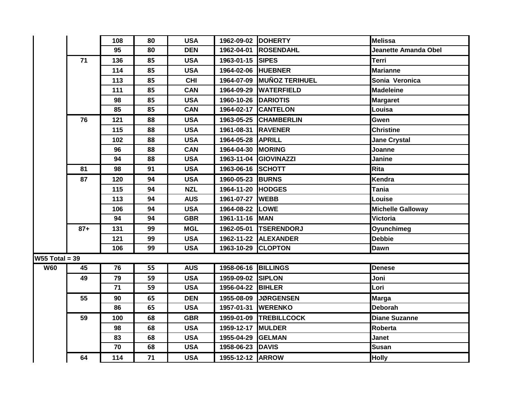|                  |        | 108 | 80 | <b>USA</b> | 1962-09-02 DOHERTY  |                           | Melissa                  |
|------------------|--------|-----|----|------------|---------------------|---------------------------|--------------------------|
|                  |        | 95  | 80 | <b>DEN</b> |                     | 1962-04-01 ROSENDAHL      | Jeanette Amanda Obel     |
|                  | 71     | 136 | 85 | <b>USA</b> | 1963-01-15 SIPES    |                           | <b>Terri</b>             |
|                  |        | 114 | 85 | <b>USA</b> | 1964-02-06 HUEBNER  |                           | <b>Marianne</b>          |
|                  |        | 113 | 85 | <b>CHI</b> |                     | 1964-07-09 MUÑOZ TERIHUEL | Sonia Veronica           |
|                  |        | 111 | 85 | <b>CAN</b> |                     | 1964-09-29 WATERFIELD     | <b>Madeleine</b>         |
|                  |        | 98  | 85 | <b>USA</b> | 1960-10-26 DARIOTIS |                           | <b>Margaret</b>          |
|                  |        | 85  | 85 | <b>CAN</b> |                     | 1964-02-17 CANTELON       | Louisa                   |
|                  | 76     | 121 | 88 | <b>USA</b> |                     | 1963-05-25 CHAMBERLIN     | Gwen                     |
|                  |        | 115 | 88 | <b>USA</b> | 1961-08-31 RAVENER  |                           | <b>Christine</b>         |
|                  |        | 102 | 88 | <b>USA</b> | 1964-05-28 APRILL   |                           | <b>Jane Crystal</b>      |
|                  |        | 96  | 88 | <b>CAN</b> | 1964-04-30 MORING   |                           | Joanne                   |
|                  |        | 94  | 88 | <b>USA</b> |                     | 1963-11-04 GIOVINAZZI     | Janine                   |
|                  | 81     | 98  | 91 | <b>USA</b> | 1963-06-16 SCHOTT   |                           | <b>Rita</b>              |
|                  | 87     | 120 | 94 | <b>USA</b> | 1960-05-23 BURNS    |                           | Kendra                   |
|                  |        | 115 | 94 | <b>NZL</b> | 1964-11-20 HODGES   |                           | Tania                    |
|                  |        | 113 | 94 | <b>AUS</b> | 1961-07-27          | <b>WEBB</b>               | Louise                   |
|                  |        | 106 | 94 | <b>USA</b> | 1964-08-22 LOWE     |                           | <b>Michelle Galloway</b> |
|                  |        | 94  | 94 | <b>GBR</b> | 1961-11-16 MAN      |                           | <b>Victoria</b>          |
|                  | $87 +$ | 131 | 99 | <b>MGL</b> |                     | 1962-05-01  TSERENDORJ    | Oyunchimeg               |
|                  |        | 121 | 99 | <b>USA</b> |                     | 1962-11-22 ALEXANDER      | <b>Debbie</b>            |
|                  |        | 106 | 99 | <b>USA</b> | 1963-10-29 CLOPTON  |                           | <b>Dawn</b>              |
| $W55$ Total = 39 |        |     |    |            |                     |                           |                          |
| <b>W60</b>       | 45     | 76  | 55 | <b>AUS</b> | 1958-06-16          | <b>BILLINGS</b>           | <b>Denese</b>            |
|                  | 49     | 79  | 59 | <b>USA</b> | 1959-09-02 SIPLON   |                           | Joni                     |
|                  |        | 71  | 59 | <b>USA</b> | 1956-04-22 BIHLER   |                           | Lori                     |
|                  | 55     | 90  | 65 | <b>DEN</b> |                     | 1955-08-09 JØRGENSEN      | <b>Marga</b>             |
|                  |        | 86  | 65 | <b>USA</b> |                     | 1957-01-31 WERENKO        | <b>Deborah</b>           |
|                  | 59     | 100 | 68 | <b>GBR</b> |                     | 1959-01-09 TREBILLCOCK    | <b>Diane Suzanne</b>     |
|                  |        | 98  | 68 | <b>USA</b> | 1959-12-17 MULDER   |                           | Roberta                  |
|                  |        | 83  | 68 | <b>USA</b> | 1955-04-29 GELMAN   |                           | Janet                    |
|                  |        | 70  | 68 | <b>USA</b> | 1958-06-23 DAVIS    |                           | <b>Susan</b>             |
|                  | 64     | 114 | 71 | <b>USA</b> | 1955-12-12 ARROW    |                           | <b>Holly</b>             |